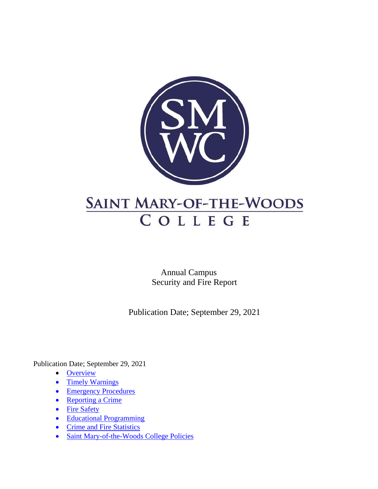

Annual Campus Security and Fire Report

Publication Date; September 29, 2021

Publication Date; September 29, 2021

- [Overview](#page-1-0)
- [Timely Warnings](#page-3-0)
- [Emergency Procedures](#page-4-0)
- <u>[Reporting a Crime](#page-6-0)</u>
- [Fire Safety](#page-10-0)
- [Educational Programming](#page-14-0)
- [Crime and Fire Statistics](#page-12-0)
- [Saint Mary-of-the-Woods College Policies](#page-16-0)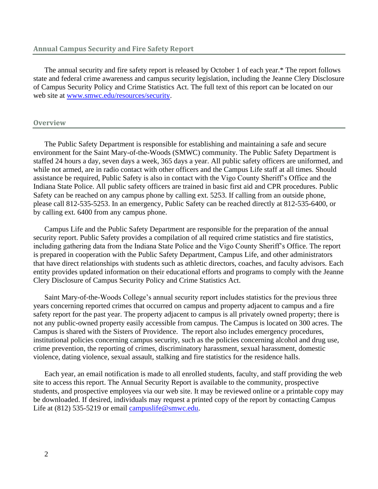The annual security and fire safety report is released by October 1 of each year.\* The report follows state and federal crime awareness and campus security legislation, including the Jeanne Clery Disclosure of Campus Security Policy and Crime Statistics Act. The full text of this report can be located on our web site at [www.smwc.edu/resources/security.](http://www.smwc.edu/resources/security)

#### <span id="page-1-0"></span>**Overview**

The Public Safety Department is responsible for establishing and maintaining a safe and secure environment for the Saint Mary-of-the-Woods (SMWC) community. The Public Safety Department is staffed 24 hours a day, seven days a week, 365 days a year. All public safety officers are uniformed, and while not armed, are in radio contact with other officers and the Campus Life staff at all times. Should assistance be required, Public Safety is also in contact with the Vigo County Sheriff's Office and the Indiana State Police. All public safety officers are trained in basic first aid and CPR procedures. Public Safety can be reached on any campus phone by calling ext. 5253. If calling from an outside phone, please call 812-535-5253. In an emergency, Public Safety can be reached directly at 812-535-6400, or by calling ext. 6400 from any campus phone.

Campus Life and the Public Safety Department are responsible for the preparation of the annual security report. Public Safety provides a compilation of all required crime statistics and fire statistics, including gathering data from the Indiana State Police and the Vigo County Sheriff's Office. The report is prepared in cooperation with the Public Safety Department, Campus Life, and other administrators that have direct relationships with students such as athletic directors, coaches, and faculty advisors. Each entity provides updated information on their educational efforts and programs to comply with the Jeanne Clery Disclosure of Campus Security Policy and Crime Statistics Act.

Saint Mary-of-the-Woods College's annual security report includes statistics for the previous three years concerning reported crimes that occurred on campus and property adjacent to campus and a fire safety report for the past year. The property adjacent to campus is all privately owned property; there is not any public-owned property easily accessible from campus. The Campus is located on 300 acres. The Campus is shared with the Sisters of Providence. The report also includes emergency procedures, institutional policies concerning campus security, such as the policies concerning alcohol and drug use, crime prevention, the reporting of crimes, discriminatory harassment, sexual harassment, domestic violence, dating violence, sexual assault, stalking and fire statistics for the residence halls.

Each year, an email notification is made to all enrolled students, faculty, and staff providing the web site to access this report. The Annual Security Report is available to the community, prospective students, and prospective employees via our web site. It may be reviewed online or a printable copy may be downloaded. If desired, individuals may request a printed copy of the report by contacting Campus Life at (812) 535-5219 or email [campuslife@smwc.edu.](mailto:campuslife@smwc.edu)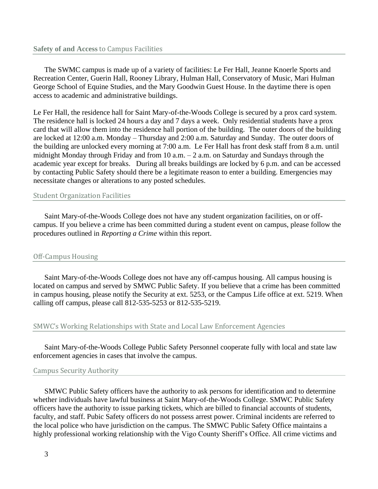The SWMC campus is made up of a variety of facilities: Le Fer Hall, Jeanne Knoerle Sports and Recreation Center, Guerin Hall, Rooney Library, Hulman Hall, Conservatory of Music, Mari Hulman George School of Equine Studies, and the Mary Goodwin Guest House. In the daytime there is open access to academic and administrative buildings.

Le Fer Hall, the residence hall for Saint Mary-of-the-Woods College is secured by a prox card system. The residence hall is locked 24 hours a day and 7 days a week. Only residential students have a prox card that will allow them into the residence hall portion of the building. The outer doors of the building are locked at 12:00 a.m. Monday – Thursday and 2:00 a.m. Saturday and Sunday. The outer doors of the building are unlocked every morning at 7:00 a.m. Le Fer Hall has front desk staff from 8 a.m. until midnight Monday through Friday and from 10 a.m. – 2 a.m. on Saturday and Sundays through the academic year except for breaks. During all breaks buildings are locked by 6 p.m. and can be accessed by contacting Public Safety should there be a legitimate reason to enter a building. Emergencies may necessitate changes or alterations to any posted schedules.

## Student Organization Facilities

Saint Mary-of-the-Woods College does not have any student organization facilities, on or offcampus. If you believe a crime has been committed during a student event on campus, please follow the procedures outlined in *Reporting a Crime* within this report.

## Off-Campus Housing

Saint Mary-of-the-Woods College does not have any off-campus housing. All campus housing is located on campus and served by SMWC Public Safety. If you believe that a crime has been committed in campus housing, please notify the Security at ext. 5253, or the Campus Life office at ext. 5219. When calling off campus, please call 812-535-5253 or 812-535-5219.

## SMWC's Working Relationships with State and Local Law Enforcement Agencies

Saint Mary-of-the-Woods College Public Safety Personnel cooperate fully with local and state law enforcement agencies in cases that involve the campus.

## Campus Security Authority

SMWC Public Safety officers have the authority to ask persons for identification and to determine whether individuals have lawful business at Saint Mary-of-the-Woods College. SMWC Public Safety officers have the authority to issue parking tickets, which are billed to financial accounts of students, faculty, and staff. Pubic Safety officers do not possess arrest power. Criminal incidents are referred to the local police who have jurisdiction on the campus. The SMWC Public Safety Office maintains a highly professional working relationship with the Vigo County Sheriff's Office. All crime victims and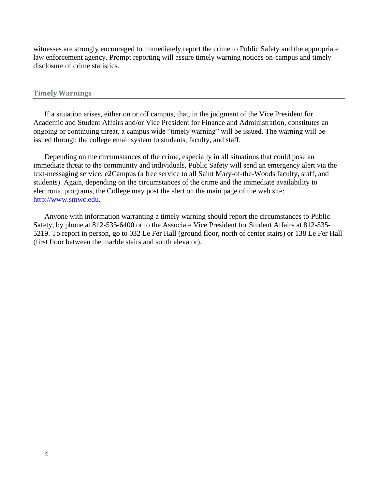witnesses are strongly encouraged to immediately report the crime to Public Safety and the appropriate law enforcement agency. Prompt reporting will assure timely warning notices on-campus and timely disclosure of crime statistics.

#### <span id="page-3-0"></span>**Timely Warnings**

If a situation arises, either on or off campus, that, in the judgment of the Vice President for Academic and Student Affairs and/or Vice President for Finance and Administration, constitutes an ongoing or continuing threat, a campus wide "timely warning" will be issued. The warning will be issued through the college email system to students, faculty, and staff.

Depending on the circumstances of the crime, especially in all situations that could pose an immediate threat to the community and individuals, Public Safety will send an emergency alert via the text-messaging service, e2Campus (a free service to all Saint Mary-of-the-Woods faculty, staff, and students). Again, depending on the circumstances of the crime and the immediate availability to electronic programs, the College may post the alert on the main page of the web site: [http://www.smwc.edu.](http://www.smwc.edu/)

Anyone with information warranting a timely warning should report the circumstances to Public Safety, by phone at 812-535-6400 or to the Associate Vice President for Student Affairs at 812-535- 5219. To report in person, go to 032 Le Fer Hall (ground floor, north of center stairs) or 138 Le Fer Hall (first floor between the marble stairs and south elevator).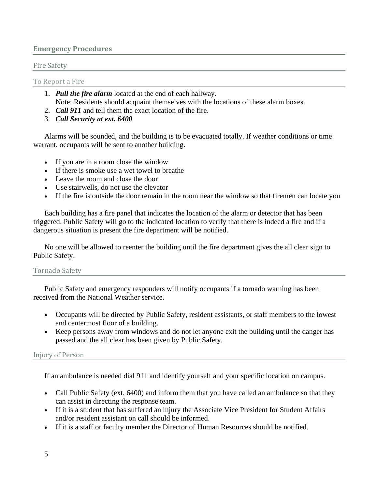# <span id="page-4-0"></span>**Emergency Procedures**

# Fire Safety

To Report a Fire

- 1. *Pull the fire alarm* located at the end of each hallway. Note: Residents should acquaint themselves with the locations of these alarm boxes.
- 2. *Call 911* and tell them the exact location of the fire.
- 3. *Call Security at ext. 6400*

Alarms will be sounded, and the building is to be evacuated totally. If weather conditions or time warrant, occupants will be sent to another building.

- If you are in a room close the window
- If there is smoke use a wet towel to breathe
- Leave the room and close the door
- Use stairwells, do not use the elevator
- If the fire is outside the door remain in the room near the window so that firemen can locate you

Each building has a fire panel that indicates the location of the alarm or detector that has been triggered. Public Safety will go to the indicated location to verify that there is indeed a fire and if a dangerous situation is present the fire department will be notified.

No one will be allowed to reenter the building until the fire department gives the all clear sign to Public Safety.

# Tornado Safety

Public Safety and emergency responders will notify occupants if a tornado warning has been received from the National Weather service.

- Occupants will be directed by Public Safety, resident assistants, or staff members to the lowest and centermost floor of a building.
- Keep persons away from windows and do not let anyone exit the building until the danger has passed and the all clear has been given by Public Safety.

# Injury of Person

If an ambulance is needed dial 911 and identify yourself and your specific location on campus.

- Call Public Safety (ext. 6400) and inform them that you have called an ambulance so that they can assist in directing the response team.
- If it is a student that has suffered an injury the Associate Vice President for Student Affairs and/or resident assistant on call should be informed.
- If it is a staff or faculty member the Director of Human Resources should be notified.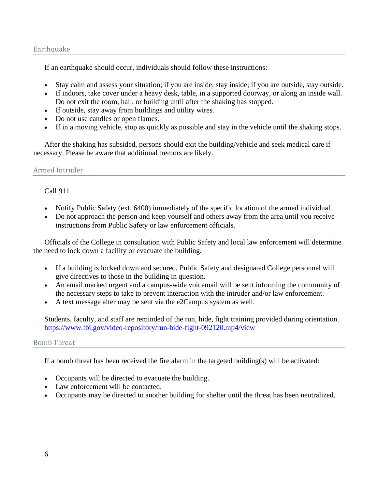# **Earthquake**

If an earthquake should occur, individuals should follow these instructions:

- Stay calm and assess your situation; if you are inside, stay inside; if you are outside, stay outside.
- If indoors, take cover under a heavy desk, table, in a supported doorway, or along an inside wall. Do not exit the room, hall, or building until after the shaking has stopped.
- If outside, stay away from buildings and utility wires.
- Do not use candles or open flames.
- If in a moving vehicle, stop as quickly as possible and stay in the vehicle until the shaking stops.

After the shaking has subsided, persons should exit the building/vehicle and seek medical care if necessary. Please be aware that additional tremors are likely.

Armed Intruder

# Call 911

- Notify Public Safety (ext. 6400) immediately of the specific location of the armed individual.
- Do not approach the person and keep yourself and others away from the area until you receive instructions from Public Safety or law enforcement officials.

Officials of the College in consultation with Public Safety and local law enforcement will determine the need to lock down a facility or evacuate the building.

- If a building is locked down and secured, Public Safety and designated College personnel will give directives to those in the building in question.
- An email marked urgent and a campus-wide voicemail will be sent informing the community of the necessary steps to take to prevent interaction with the intruder and/or law enforcement.
- A text message alter may be sent via the e2Campus system as well.

Students, faculty, and staff are reminded of the run, hide, fight training provided during orientation. <https://www.fbi.gov/video-repository/run-hide-fight-092120.mp4/view>

# Bomb Threat

If a bomb threat has been received the fire alarm in the targeted building(s) will be activated:

- Occupants will be directed to evacuate the building.
- Law enforcement will be contacted.
- Occupants may be directed to another building for shelter until the threat has been neutralized.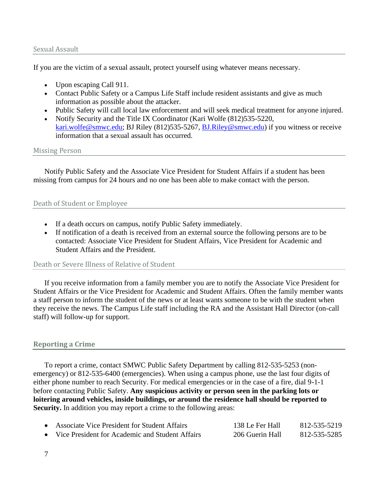## Sexual Assault

If you are the victim of a sexual assault, protect yourself using whatever means necessary.

- Upon escaping Call 911.
- Contact Public Safety or a Campus Life Staff include resident assistants and give as much information as possible about the attacker.
- Public Safety will call local law enforcement and will seek medical treatment for anyone injured.
- Notify Security and the Title IX Coordinator (Kari Wolfe (812)535-5220, [kari.wolfe@smwc.edu;](mailto:kari.wolfe@smwc.edu) BJ Riley (812)535-5267, [BJ.Riley@smwc.edu\)](mailto:%20BJ.Riley@smwc.edu) if you witness or receive information that a sexual assault has occurred.

## Missing Person

Notify Public Safety and the Associate Vice President for Student Affairs if a student has been missing from campus for 24 hours and no one has been able to make contact with the person.

# Death of Student or Employee

- If a death occurs on campus, notify Public Safety immediately.
- If notification of a death is received from an external source the following persons are to be contacted: Associate Vice President for Student Affairs, Vice President for Academic and Student Affairs and the President.

## Death or Severe Illness of Relative of Student

If you receive information from a family member you are to notify the Associate Vice President for Student Affairs or the Vice President for Academic and Student Affairs. Often the family member wants a staff person to inform the student of the news or at least wants someone to be with the student when they receive the news. The Campus Life staff including the RA and the Assistant Hall Director (on-call staff) will follow-up for support.

# <span id="page-6-0"></span>**Reporting a Crime**

To report a crime, contact SMWC Public Safety Department by calling 812-535-5253 (nonemergency) or 812-535-6400 (emergencies). When using a campus phone, use the last four digits of either phone number to reach Security. For medical emergencies or in the case of a fire, dial 9-1-1 before contacting Public Safety. **Any suspicious activity or person seen in the parking lots or loitering around vehicles, inside buildings, or around the residence hall should be reported to Security.** In addition you may report a crime to the following areas:

| • Associate Vice President for Student Affairs    | 138 Le Fer Hall | 812-535-5219 |
|---------------------------------------------------|-----------------|--------------|
| • Vice President for Academic and Student Affairs | 206 Guerin Hall | 812-535-5285 |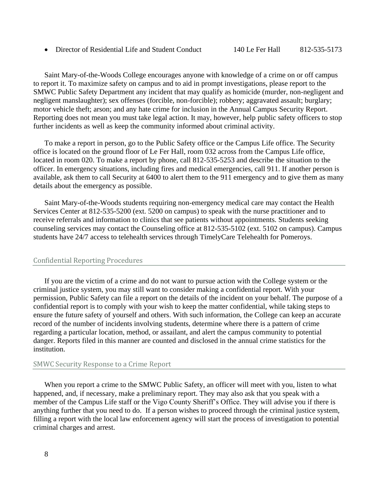• Director of Residential Life and Student Conduct 140 Le Fer Hall 812-535-5173

Saint Mary-of-the-Woods College encourages anyone with knowledge of a crime on or off campus to report it. To maximize safety on campus and to aid in prompt investigations, please report to the SMWC Public Safety Department any incident that may qualify as homicide (murder, non-negligent and negligent manslaughter); sex offenses (forcible, non-forcible); robbery; aggravated assault; burglary; motor vehicle theft; arson; and any hate crime for inclusion in the Annual Campus Security Report. Reporting does not mean you must take legal action. It may, however, help public safety officers to stop further incidents as well as keep the community informed about criminal activity.

To make a report in person, go to the Public Safety office or the Campus Life office. The Security office is located on the ground floor of Le Fer Hall, room 032 across from the Campus Life office, located in room 020. To make a report by phone, call 812-535-5253 and describe the situation to the officer. In emergency situations, including fires and medical emergencies, call 911. If another person is available, ask them to call Security at 6400 to alert them to the 911 emergency and to give them as many details about the emergency as possible.

Saint Mary-of-the-Woods students requiring non-emergency medical care may contact the Health Services Center at 812-535-5200 (ext. 5200 on campus) to speak with the nurse practitioner and to receive referrals and information to clinics that see patients without appointments. Students seeking counseling services may contact the Counseling office at 812-535-5102 (ext. 5102 on campus). Campus students have 24/7 access to telehealth services through TimelyCare Telehealth for Pomeroys.

## Confidential Reporting Procedures

If you are the victim of a crime and do not want to pursue action with the College system or the criminal justice system, you may still want to consider making a confidential report. With your permission, Public Safety can file a report on the details of the incident on your behalf. The purpose of a confidential report is to comply with your wish to keep the matter confidential, while taking steps to ensure the future safety of yourself and others. With such information, the College can keep an accurate record of the number of incidents involving students, determine where there is a pattern of crime regarding a particular location, method, or assailant, and alert the campus community to potential danger. Reports filed in this manner are counted and disclosed in the annual crime statistics for the institution.

#### SMWC Security Response to a Crime Report

When you report a crime to the SMWC Public Safety, an officer will meet with you, listen to what happened, and, if necessary, make a preliminary report. They may also ask that you speak with a member of the Campus Life staff or the Vigo County Sheriff's Office. They will advise you if there is anything further that you need to do. If a person wishes to proceed through the criminal justice system, filling a report with the local law enforcement agency will start the process of investigation to potential criminal charges and arrest.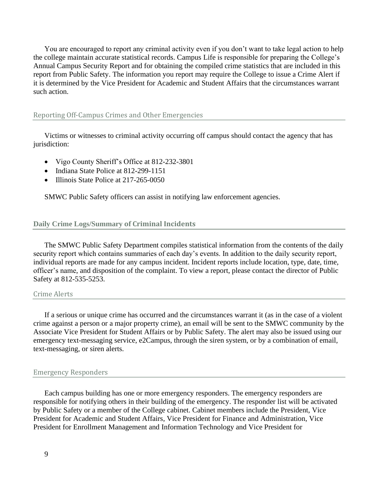You are encouraged to report any criminal activity even if you don't want to take legal action to help the college maintain accurate statistical records. Campus Life is responsible for preparing the College's Annual Campus Security Report and for obtaining the compiled crime statistics that are included in this report from Public Safety. The information you report may require the College to issue a Crime Alert if it is determined by the Vice President for Academic and Student Affairs that the circumstances warrant such action.

#### Reporting Off-Campus Crimes and Other Emergencies

Victims or witnesses to criminal activity occurring off campus should contact the agency that has jurisdiction:

- Vigo County Sheriff's Office at 812-232-3801
- Indiana State Police at 812-299-1151
- Illinois State Police at 217-265-0050

SMWC Public Safety officers can assist in notifying law enforcement agencies.

# **Daily Crime Logs/Summary of Criminal Incidents**

The SMWC Public Safety Department compiles statistical information from the contents of the daily security report which contains summaries of each day's events. In addition to the daily security report, individual reports are made for any campus incident. Incident reports include location, type, date, time, officer's name, and disposition of the complaint. To view a report, please contact the director of Public Safety at 812-535-5253.

## Crime Alerts

If a serious or unique crime has occurred and the circumstances warrant it (as in the case of a violent crime against a person or a major property crime), an email will be sent to the SMWC community by the Associate Vice President for Student Affairs or by Public Safety. The alert may also be issued using our emergency text-messaging service, e2Campus, through the siren system, or by a combination of email, text-messaging, or siren alerts.

#### Emergency Responders

Each campus building has one or more emergency responders. The emergency responders are responsible for notifying others in their building of the emergency. The responder list will be activated by Public Safety or a member of the College cabinet. Cabinet members include the President, Vice President for Academic and Student Affairs, Vice President for Finance and Administration, Vice President for Enrollment Management and Information Technology and Vice President for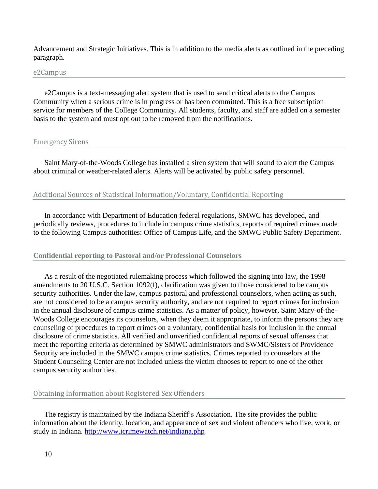Advancement and Strategic Initiatives. This is in addition to the media alerts as outlined in the preceding paragraph.

#### e2Campus

e2Campus is a text-messaging alert system that is used to send critical alerts to the Campus Community when a serious crime is in progress or has been committed. This is a free subscription service for members of the College Community. All students, faculty, and staff are added on a semester basis to the system and must opt out to be removed from the notifications.

#### Emergency Sirens

Saint Mary-of-the-Woods College has installed a siren system that will sound to alert the Campus about criminal or weather-related alerts. Alerts will be activated by public safety personnel.

## Additional Sources of Statistical Information/Voluntary, Confidential Reporting

In accordance with Department of Education federal regulations, SMWC has developed, and periodically reviews, procedures to include in campus crime statistics, reports of required crimes made to the following Campus authorities: Office of Campus Life, and the SMWC Public Safety Department.

## **Confidential reporting to Pastoral and/or Professional Counselors**

As a result of the negotiated rulemaking process which followed the signing into law, the 1998 amendments to 20 U.S.C. Section 1092(f), clarification was given to those considered to be campus security authorities. Under the law, campus pastoral and professional counselors, when acting as such, are not considered to be a campus security authority, and are not required to report crimes for inclusion in the annual disclosure of campus crime statistics. As a matter of policy, however, Saint Mary-of-the-Woods College encourages its counselors, when they deem it appropriate, to inform the persons they are counseling of procedures to report crimes on a voluntary, confidential basis for inclusion in the annual disclosure of crime statistics. All verified and unverified confidential reports of sexual offenses that meet the reporting criteria as determined by SMWC administrators and SWMC/Sisters of Providence Security are included in the SMWC campus crime statistics. Crimes reported to counselors at the Student Counseling Center are not included unless the victim chooses to report to one of the other campus security authorities.

## Obtaining Information about Registered Sex Offenders

The registry is maintained by the Indiana Sheriff's Association. The site provides the public information about the identity, location, and appearance of sex and violent offenders who live, work, or study in Indiana.<http://www.icrimewatch.net/indiana.php>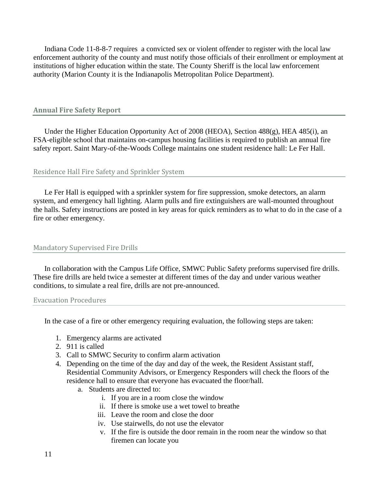Indiana Code 11-8-8-7 requires a convicted sex or violent offender to register with the local law enforcement authority of the county and must notify those officials of their enrollment or employment at institutions of higher education within the state. The County Sheriff is the local law enforcement authority (Marion County it is the Indianapolis Metropolitan Police Department).

## <span id="page-10-0"></span>**Annual Fire Safety Report**

Under the Higher Education Opportunity Act of 2008 (HEOA), Section 488(g), HEA 485(i), an FSA-eligible school that maintains on-campus housing facilities is required to publish an annual fire safety report. Saint Mary-of-the-Woods College maintains one student residence hall: Le Fer Hall.

## Residence Hall Fire Safety and Sprinkler System

Le Fer Hall is equipped with a sprinkler system for fire suppression, smoke detectors, an alarm system, and emergency hall lighting. Alarm pulls and fire extinguishers are wall-mounted throughout the halls. Safety instructions are posted in key areas for quick reminders as to what to do in the case of a fire or other emergency.

## Mandatory Supervised Fire Drills

In collaboration with the Campus Life Office, SMWC Public Safety preforms supervised fire drills. These fire drills are held twice a semester at different times of the day and under various weather conditions, to simulate a real fire, drills are not pre-announced.

#### Evacuation Procedures

In the case of a fire or other emergency requiring evaluation, the following steps are taken:

- 1. Emergency alarms are activated
- 2. 911 is called
- 3. Call to SMWC Security to confirm alarm activation
- 4. Depending on the time of the day and day of the week, the Resident Assistant staff, Residential Community Advisors, or Emergency Responders will check the floors of the residence hall to ensure that everyone has evacuated the floor/hall.
	- a. Students are directed to:
		- i. If you are in a room close the window
		- ii. If there is smoke use a wet towel to breathe
		- iii. Leave the room and close the door
		- iv. Use stairwells, do not use the elevator
		- v. If the fire is outside the door remain in the room near the window so that firemen can locate you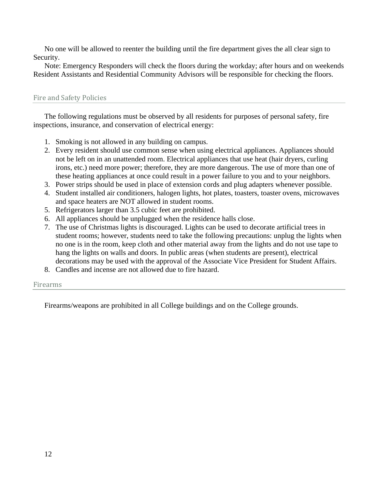No one will be allowed to reenter the building until the fire department gives the all clear sign to Security.

Note: Emergency Responders will check the floors during the workday; after hours and on weekends Resident Assistants and Residential Community Advisors will be responsible for checking the floors.

# Fire and Safety Policies

The following regulations must be observed by all residents for purposes of personal safety, fire inspections, insurance, and conservation of electrical energy:

- 1. Smoking is not allowed in any building on campus.
- 2. Every resident should use common sense when using electrical appliances. Appliances should not be left on in an unattended room. Electrical appliances that use heat (hair dryers, curling irons, etc.) need more power; therefore, they are more dangerous. The use of more than one of these heating appliances at once could result in a power failure to you and to your neighbors.
- 3. Power strips should be used in place of extension cords and plug adapters whenever possible.
- 4. Student installed air conditioners, halogen lights, hot plates, toasters, toaster ovens, microwaves and space heaters are NOT allowed in student rooms.
- 5. Refrigerators larger than 3.5 cubic feet are prohibited.
- 6. All appliances should be unplugged when the residence halls close.
- 7. The use of Christmas lights is discouraged. Lights can be used to decorate artificial trees in student rooms; however, students need to take the following precautions: unplug the lights when no one is in the room, keep cloth and other material away from the lights and do not use tape to hang the lights on walls and doors. In public areas (when students are present), electrical decorations may be used with the approval of the Associate Vice President for Student Affairs.
- 8. Candles and incense are not allowed due to fire hazard.

# Firearms

Firearms/weapons are prohibited in all College buildings and on the College grounds.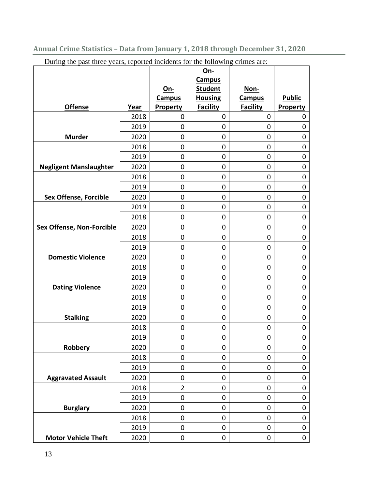<span id="page-12-0"></span>During the past three years, reported incidents for the following crimes are:

|                               |              |                      | <u>On-</u><br><b>Campus</b>      |                       |                            |
|-------------------------------|--------------|----------------------|----------------------------------|-----------------------|----------------------------|
|                               |              | On-<br><b>Campus</b> | <b>Student</b><br><b>Housing</b> | Non-<br><b>Campus</b> | <b>Public</b>              |
| <b>Offense</b>                | Year         | Property             | <b>Facility</b>                  | <b>Facility</b>       | Property                   |
|                               | 2018         | 0                    | $\mathbf 0$                      | 0                     | 0                          |
|                               | 2019         | 0                    | $\mathbf 0$                      | $\mathbf 0$           | $\mathbf 0$                |
| <b>Murder</b>                 | 2020         | 0                    | 0                                | 0                     | $\mathbf 0$                |
|                               | 2018         | 0                    | 0                                | 0                     | $\mathbf 0$                |
|                               | 2019         | 0                    | 0                                | 0                     | $\mathbf 0$                |
| <b>Negligent Manslaughter</b> | 2020         | 0                    | 0                                | $\mathbf 0$           | $\mathbf 0$                |
|                               | 2018         | $\pmb{0}$            | 0                                | 0                     | $\mathbf 0$                |
|                               | 2019         | 0                    | 0                                | $\mathbf 0$           | $\mathbf 0$                |
| <b>Sex Offense, Forcible</b>  | 2020         | $\mathbf 0$          | 0                                | $\mathbf 0$           | $\mathbf 0$                |
|                               | 2019         | 0                    | 0                                | $\mathbf 0$           | $\mathbf 0$                |
|                               | 2018         | 0                    | 0                                | $\mathbf 0$           | $\mathbf 0$                |
| Sex Offense, Non-Forcible     | 2020         | 0                    | 0                                | $\mathbf 0$           | $\mathbf 0$                |
|                               | 2018         | 0                    | 0                                | $\mathbf 0$           | $\mathbf 0$                |
|                               | 2019         | 0                    | 0                                | 0                     | $\mathbf 0$                |
| <b>Domestic Violence</b>      | 2020         | 0                    | 0                                | $\mathbf 0$           | $\mathbf 0$                |
|                               | 2018         | 0                    | 0                                | $\mathbf 0$           | $\mathbf 0$                |
|                               | 2019         | 0                    | 0                                | 0                     | $\mathbf 0$                |
| <b>Dating Violence</b>        | 2020         | 0                    | $\mathbf 0$                      | $\mathbf 0$           | $\mathbf 0$                |
|                               | 2018         | 0                    | 0                                | $\mathbf 0$           | 0                          |
|                               | 2019<br>2020 | 0<br>$\mathbf 0$     | 0<br>$\mathbf 0$                 | 0<br>0                | $\mathbf 0$<br>$\mathbf 0$ |
| <b>Stalking</b>               | 2018         | 0                    | 0                                | 0                     | 0                          |
|                               | 2019         | $\mathbf 0$          | 0                                | $\mathbf 0$           | $\mathbf 0$                |
| <b>Robbery</b>                | 2020         | 0                    | 0                                | $\mathbf 0$           | 0                          |
|                               | 2018         | 0                    | 0                                | 0                     | $\mathbf 0$                |
|                               | 2019         | $\pmb{0}$            | 0                                | $\mathbf 0$           | $\mathbf 0$                |
| <b>Aggravated Assault</b>     | 2020         | $\mathbf 0$          | 0                                | 0                     | $\mathbf 0$                |
|                               | 2018         | $\overline{2}$       | $\mathbf 0$                      | $\mathbf 0$           | $\mathbf 0$                |
|                               | 2019         | $\pmb{0}$            | 0                                | $\mathbf 0$           | $\mathbf 0$                |
| <b>Burglary</b>               | 2020         | $\pmb{0}$            | $\mathbf 0$                      | $\mathbf 0$           | 0                          |
|                               | 2018         | $\pmb{0}$            | $\boldsymbol{0}$                 | 0                     | $\boldsymbol{0}$           |
|                               | 2019         | $\pmb{0}$            | $\mathbf 0$                      | $\mathbf 0$           | $\pmb{0}$                  |
| <b>Motor Vehicle Theft</b>    | 2020         | $\pmb{0}$            | $\pmb{0}$                        | $\pmb{0}$             | $\pmb{0}$                  |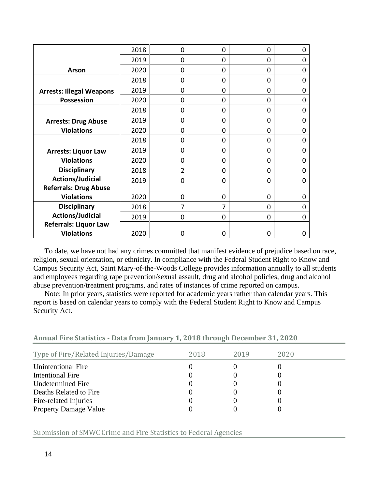|                                 | 2018 | 0              | $\Omega$ | 0        | 0        |
|---------------------------------|------|----------------|----------|----------|----------|
|                                 | 2019 | 0              | $\Omega$ | $\Omega$ | 0        |
| <b>Arson</b>                    | 2020 | 0              | 0        | 0        | 0        |
|                                 | 2018 | 0              | 0        | 0        | 0        |
| <b>Arrests: Illegal Weapons</b> | 2019 | 0              | 0        | 0        | 0        |
| <b>Possession</b>               | 2020 | 0              | 0        | 0        | 0        |
|                                 | 2018 | 0              | 0        | 0        | 0        |
| <b>Arrests: Drug Abuse</b>      | 2019 | 0              | $\Omega$ | $\Omega$ | 0        |
| <b>Violations</b>               | 2020 | 0              | $\Omega$ | 0        | 0        |
|                                 | 2018 | 0              | $\Omega$ | $\Omega$ | $\Omega$ |
| <b>Arrests: Liquor Law</b>      | 2019 | 0              | $\Omega$ | 0        | 0        |
| <b>Violations</b>               | 2020 | 0              | $\Omega$ | 0        | 0        |
| <b>Disciplinary</b>             | 2018 | $\overline{2}$ | $\Omega$ | 0        | 0        |
| <b>Actions/Judicial</b>         | 2019 | 0              | $\Omega$ | 0        | 0        |
| <b>Referrals: Drug Abuse</b>    |      |                |          |          |          |
| <b>Violations</b>               | 2020 | 0              | 0        | 0        | 0        |
| <b>Disciplinary</b>             | 2018 | 7              | 7        | $\Omega$ | 0        |
| <b>Actions/Judicial</b>         | 2019 | 0              | $\Omega$ | 0        | 0        |
| <b>Referrals: Liquor Law</b>    |      |                |          |          |          |
| <b>Violations</b>               | 2020 | 0              | 0        | 0        | 0        |

To date, we have not had any crimes committed that manifest evidence of prejudice based on race, religion, sexual orientation, or ethnicity. In compliance with the Federal Student Right to Know and Campus Security Act, Saint Mary-of-the-Woods College provides information annually to all students and employees regarding rape prevention/sexual assault, drug and alcohol policies, drug and alcohol abuse prevention/treatment programs, and rates of instances of crime reported on campus.

Note: In prior years, statistics were reported for academic years rather than calendar years. This report is based on calendar years to comply with the Federal Student Right to Know and Campus Security Act.

| Annual Fire Statistics - Data from January 1, 2018 through December 31, 2020 |  |  |  |  |  |  |
|------------------------------------------------------------------------------|--|--|--|--|--|--|
|                                                                              |  |  |  |  |  |  |

| Type of Fire/Related Injuries/Damage | 2018 | 2019 | 2020 |
|--------------------------------------|------|------|------|
| Unintentional Fire                   |      |      |      |
| Intentional Fire                     |      |      |      |
| Undetermined Fire                    |      |      |      |
| Deaths Related to Fire               |      |      |      |
| Fire-related Injuries                |      |      |      |
| <b>Property Damage Value</b>         |      |      |      |

Submission of SMWC Crime and Fire Statistics to Federal Agencies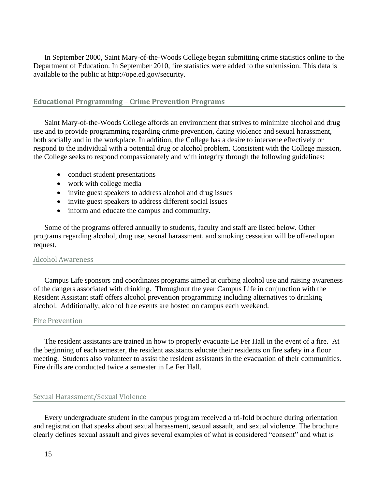In September 2000, Saint Mary-of-the-Woods College began submitting crime statistics online to the Department of Education. In September 2010, fire statistics were added to the submission. This data is available to the public at http://ope.ed.gov/security.

# <span id="page-14-0"></span>**Educational Programming – Crime Prevention Programs**

Saint Mary-of-the-Woods College affords an environment that strives to minimize alcohol and drug use and to provide programming regarding crime prevention, dating violence and sexual harassment, both socially and in the workplace. In addition, the College has a desire to intervene effectively or respond to the individual with a potential drug or alcohol problem. Consistent with the College mission, the College seeks to respond compassionately and with integrity through the following guidelines:

- conduct student presentations
- work with college media
- invite guest speakers to address alcohol and drug issues
- invite guest speakers to address different social issues
- inform and educate the campus and community.

Some of the programs offered annually to students, faculty and staff are listed below. Other programs regarding alcohol, drug use, sexual harassment, and smoking cessation will be offered upon request.

#### Alcohol Awareness

Campus Life sponsors and coordinates programs aimed at curbing alcohol use and raising awareness of the dangers associated with drinking. Throughout the year Campus Life in conjunction with the Resident Assistant staff offers alcohol prevention programming including alternatives to drinking alcohol. Additionally, alcohol free events are hosted on campus each weekend.

#### Fire Prevention

The resident assistants are trained in how to properly evacuate Le Fer Hall in the event of a fire. At the beginning of each semester, the resident assistants educate their residents on fire safety in a floor meeting. Students also volunteer to assist the resident assistants in the evacuation of their communities. Fire drills are conducted twice a semester in Le Fer Hall.

## Sexual Harassment/Sexual Violence

Every undergraduate student in the campus program received a tri-fold brochure during orientation and registration that speaks about sexual harassment, sexual assault, and sexual violence. The brochure clearly defines sexual assault and gives several examples of what is considered "consent" and what is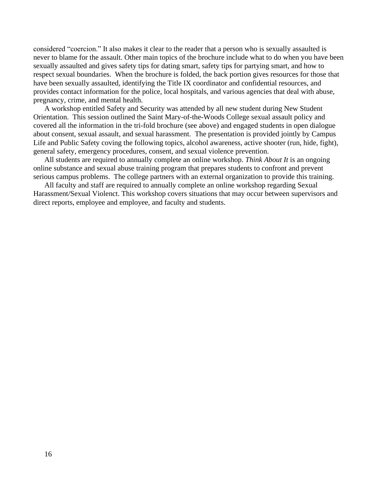considered "coercion." It also makes it clear to the reader that a person who is sexually assaulted is never to blame for the assault. Other main topics of the brochure include what to do when you have been sexually assaulted and gives safety tips for dating smart, safety tips for partying smart, and how to respect sexual boundaries. When the brochure is folded, the back portion gives resources for those that have been sexually assaulted, identifying the Title IX coordinator and confidential resources, and provides contact information for the police, local hospitals, and various agencies that deal with abuse, pregnancy, crime, and mental health.

A workshop entitled Safety and Security was attended by all new student during New Student Orientation. This session outlined the Saint Mary-of-the-Woods College sexual assault policy and covered all the information in the tri-fold brochure (see above) and engaged students in open dialogue about consent, sexual assault, and sexual harassment. The presentation is provided jointly by Campus Life and Public Safety coving the following topics, alcohol awareness, active shooter (run, hide, fight), general safety, emergency procedures, consent, and sexual violence prevention.

All students are required to annually complete an online workshop. *Think About It* is an ongoing online substance and sexual abuse training program that prepares students to confront and prevent serious campus problems. The college partners with an external organization to provide this training.

All faculty and staff are required to annually complete an online workshop regarding Sexual Harassment/Sexual Violenct. This workshop covers situations that may occur between supervisors and direct reports, employee and employee, and faculty and students.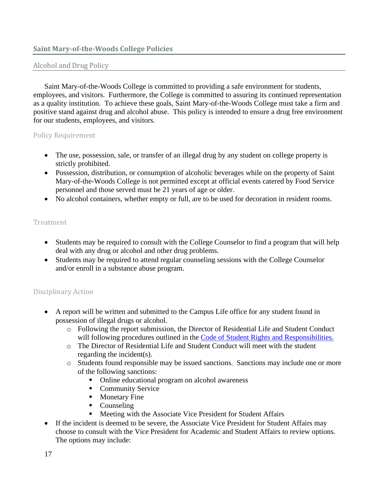# <span id="page-16-0"></span>**Saint Mary-of-the-Woods College Policies**

# Alcohol and Drug Policy

Saint Mary-of-the-Woods College is committed to providing a safe environment for students, employees, and visitors. Furthermore, the College is committed to assuring its continued representation as a quality institution. To achieve these goals, Saint Mary-of-the-Woods College must take a firm and positive stand against drug and alcohol abuse. This policy is intended to ensure a drug free environment for our students, employees, and visitors.

# Policy Requirement

- The use, possession, sale, or transfer of an illegal drug by any student on college property is strictly prohibited.
- Possession, distribution, or consumption of alcoholic beverages while on the property of Saint Mary-of-the-Woods College is not permitted except at official events catered by Food Service personnel and those served must be 21 years of age or older.
- No alcohol containers, whether empty or full, are to be used for decoration in resident rooms.

# Treatment

- Students may be required to consult with the College Counselor to find a program that will help deal with any drug or alcohol and other drug problems.
- Students may be required to attend regular counseling sessions with the College Counselor and/or enroll in a substance abuse program.

# Disciplinary Action

- A report will be written and submitted to the Campus Life office for any student found in possession of illegal drugs or alcohol.
	- o Following the report submission, the Director of Residential Life and Student Conduct will following procedures outlined in the [Code of Student Rights and Responsibilities.](https://smwc.smartcatalogiq.com/en/2021-2022/Code-of-Student-Rights-and-Responsibilities)
	- o The Director of Residential Life and Student Conduct will meet with the student regarding the incident(s).
	- o Students found responsible may be issued sanctions. Sanctions may include one or more of the following sanctions:
		- Online educational program on alcohol awareness
		- Community Service
		- Monetary Fine
		- Counseling
		- Meeting with the Associate Vice President for Student Affairs
- If the incident is deemed to be severe, the Associate Vice President for Student Affairs may choose to consult with the Vice President for Academic and Student Affairs to review options. The options may include: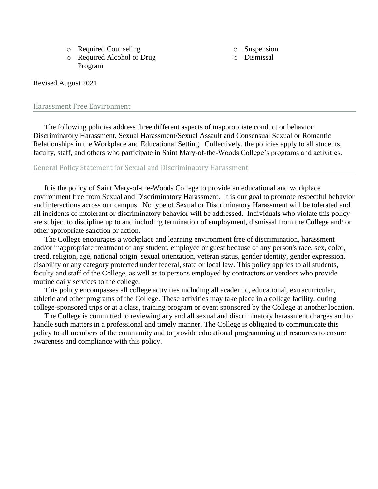- o Required Counseling
- o Required Alcohol or Drug Program

o Suspension

o Dismissal

# Revised August 2021

## Harassment Free Environment

The following policies address three different aspects of inappropriate conduct or behavior: Discriminatory Harassment, Sexual Harassment/Sexual Assault and Consensual Sexual or Romantic Relationships in the Workplace and Educational Setting. Collectively, the policies apply to all students, faculty, staff, and others who participate in Saint Mary-of-the-Woods College's programs and activities.

## General Policy Statement for Sexual and Discriminatory Harassment

It is the policy of Saint Mary-of-the-Woods College to provide an educational and workplace environment free from Sexual and Discriminatory Harassment. It is our goal to promote respectful behavior and interactions across our campus. No type of Sexual or Discriminatory Harassment will be tolerated and all incidents of intolerant or discriminatory behavior will be addressed. Individuals who violate this policy are subject to discipline up to and including termination of employment, dismissal from the College and/ or other appropriate sanction or action.

The College encourages a workplace and learning environment free of discrimination, harassment and/or inappropriate treatment of any student, employee or guest because of any person's race, sex, color, creed, religion, age, national origin, sexual orientation, veteran status, gender identity, gender expression, disability or any category protected under federal, state or local law. This policy applies to all students, faculty and staff of the College, as well as to persons employed by contractors or vendors who provide routine daily services to the college.

This policy encompasses all college activities including all academic, educational, extracurricular, athletic and other programs of the College. These activities may take place in a college facility, during college-sponsored trips or at a class, training program or event sponsored by the College at another location.

The College is committed to reviewing any and all sexual and discriminatory harassment charges and to handle such matters in a professional and timely manner. The College is obligated to communicate this policy to all members of the community and to provide educational programming and resources to ensure awareness and compliance with this policy.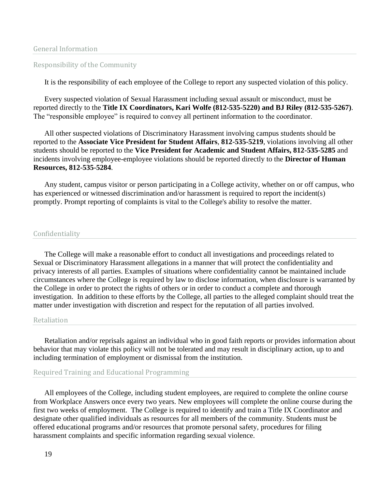## Responsibility of the Community

It is the responsibility of each employee of the College to report any suspected violation of this policy.

Every suspected violation of Sexual Harassment including sexual assault or misconduct, must be reported directly to the **Title IX Coordinators, Kari Wolfe (812-535-5220) and BJ Riley (812-535-5267)**. The "responsible employee" is required to convey all pertinent information to the coordinator.

All other suspected violations of Discriminatory Harassment involving campus students should be reported to the **Associate Vice President for Student Affairs**, **812-535-5219**, violations involving all other students should be reported to the **Vice President for Academic and Student Affairs, 812-535-5285** and incidents involving employee-employee violations should be reported directly to the **Director of Human Resources, 812-535-5284**.

Any student, campus visitor or person participating in a College activity, whether on or off campus, who has experienced or witnessed discrimination and/or harassment is required to report the incident(s) promptly. Prompt reporting of complaints is vital to the College's ability to resolve the matter.

#### Confidentiality

The College will make a reasonable effort to conduct all investigations and proceedings related to Sexual or Discriminatory Harassment allegations in a manner that will protect the confidentiality and privacy interests of all parties. Examples of situations where confidentiality cannot be maintained include circumstances where the College is required by law to disclose information, when disclosure is warranted by the College in order to protect the rights of others or in order to conduct a complete and thorough investigation. In addition to these efforts by the College, all parties to the alleged complaint should treat the matter under investigation with discretion and respect for the reputation of all parties involved.

#### Retaliation

Retaliation and/or reprisals against an individual who in good faith reports or provides information about behavior that may violate this policy will not be tolerated and may result in disciplinary action, up to and including termination of employment or dismissal from the institution.

## Required Training and Educational Programming

All employees of the College, including student employees, are required to complete the online course from Workplace Answers once every two years. New employees will complete the online course during the first two weeks of employment. The College is required to identify and train a Title IX Coordinator and designate other qualified individuals as resources for all members of the community. Students must be offered educational programs and/or resources that promote personal safety, procedures for filing harassment complaints and specific information regarding sexual violence.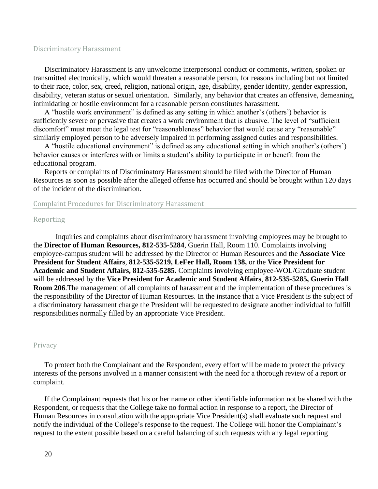#### Discriminatory Harassment

Discriminatory Harassment is any unwelcome interpersonal conduct or comments, written, spoken or transmitted electronically, which would threaten a reasonable person, for reasons including but not limited to their race, color, sex, creed, religion, national origin, age, disability, gender identity, gender expression, disability, veteran status or sexual orientation. Similarly, any behavior that creates an offensive, demeaning, intimidating or hostile environment for a reasonable person constitutes harassment.

A "hostile work environment" is defined as any setting in which another's (others') behavior is sufficiently severe or pervasive that creates a work environment that is abusive. The level of "sufficient discomfort" must meet the legal test for "reasonableness" behavior that would cause any "reasonable" similarly employed person to be adversely impaired in performing assigned duties and responsibilities.

A "hostile educational environment" is defined as any educational setting in which another's (others') behavior causes or interferes with or limits a student's ability to participate in or benefit from the educational program.

Reports or complaints of Discriminatory Harassment should be filed with the Director of Human Resources as soon as possible after the alleged offense has occurred and should be brought within 120 days of the incident of the discrimination.

#### Complaint Procedures for Discriminatory Harassment

#### Reporting

Inquiries and complaints about discriminatory harassment involving employees may be brought to the **Director of Human Resources, 812-535-5284**, Guerin Hall, Room 110. Complaints involving employee-campus student will be addressed by the Director of Human Resources and the **Associate Vice President for Student Affairs**, **812-535-5219, LeFer Hall, Room 138,** or the **Vice President for Academic and Student Affairs, 812-535-5285.** Complaints involving employee-WOL/Graduate student will be addressed by the **Vice President for Academic and Student Affairs**, **812-535-5285, Guerin Hall Room 206**.The management of all complaints of harassment and the implementation of these procedures is the responsibility of the Director of Human Resources. In the instance that a Vice President is the subject of a discriminatory harassment charge the President will be requested to designate another individual to fulfill responsibilities normally filled by an appropriate Vice President.

#### Privacy

To protect both the Complainant and the Respondent, every effort will be made to protect the privacy interests of the persons involved in a manner consistent with the need for a thorough review of a report or complaint.

If the Complainant requests that his or her name or other identifiable information not be shared with the Respondent, or requests that the College take no formal action in response to a report, the Director of Human Resources in consultation with the appropriate Vice President(s) shall evaluate such request and notify the individual of the College's response to the request. The College will honor the Complainant's request to the extent possible based on a careful balancing of such requests with any legal reporting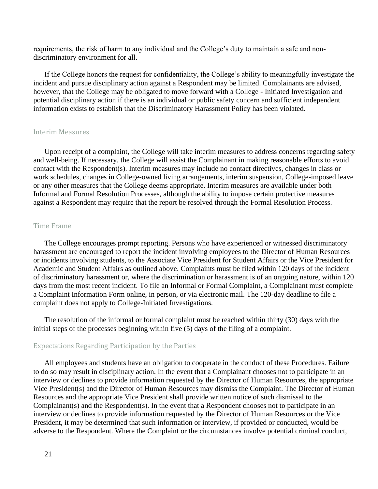requirements, the risk of harm to any individual and the College's duty to maintain a safe and nondiscriminatory environment for all.

If the College honors the request for confidentiality, the College's ability to meaningfully investigate the incident and pursue disciplinary action against a Respondent may be limited. Complainants are advised, however, that the College may be obligated to move forward with a College - Initiated Investigation and potential disciplinary action if there is an individual or public safety concern and sufficient independent information exists to establish that the Discriminatory Harassment Policy has been violated.

## Interim Measures

Upon receipt of a complaint, the College will take interim measures to address concerns regarding safety and well-being. If necessary, the College will assist the Complainant in making reasonable efforts to avoid contact with the Respondent(s). Interim measures may include no contact directives, changes in class or work schedules, changes in College-owned living arrangements, interim suspension, College-imposed leave or any other measures that the College deems appropriate. Interim measures are available under both Informal and Formal Resolution Processes, although the ability to impose certain protective measures against a Respondent may require that the report be resolved through the Formal Resolution Process.

#### Time Frame

The College encourages prompt reporting. Persons who have experienced or witnessed discriminatory harassment are encouraged to report the incident involving employees to the Director of Human Resources or incidents involving students, to the Associate Vice President for Student Affairs or the Vice President for Academic and Student Affairs as outlined above. Complaints must be filed within 120 days of the incident of discriminatory harassment or, where the discrimination or harassment is of an ongoing nature, within 120 days from the most recent incident. To file an Informal or Formal Complaint, a Complainant must complete a Complaint Information Form online, in person, or via electronic mail. The 120-day deadline to file a complaint does not apply to College-Initiated Investigations.

The resolution of the informal or formal complaint must be reached within thirty (30) days with the initial steps of the processes beginning within five (5) days of the filing of a complaint.

#### Expectations Regarding Participation by the Parties

All employees and students have an obligation to cooperate in the conduct of these Procedures. Failure to do so may result in disciplinary action. In the event that a Complainant chooses not to participate in an interview or declines to provide information requested by the Director of Human Resources, the appropriate Vice President(s) and the Director of Human Resources may dismiss the Complaint. The Director of Human Resources and the appropriate Vice President shall provide written notice of such dismissal to the Complainant(s) and the Respondent(s). In the event that a Respondent chooses not to participate in an interview or declines to provide information requested by the Director of Human Resources or the Vice President, it may be determined that such information or interview, if provided or conducted, would be adverse to the Respondent. Where the Complaint or the circumstances involve potential criminal conduct,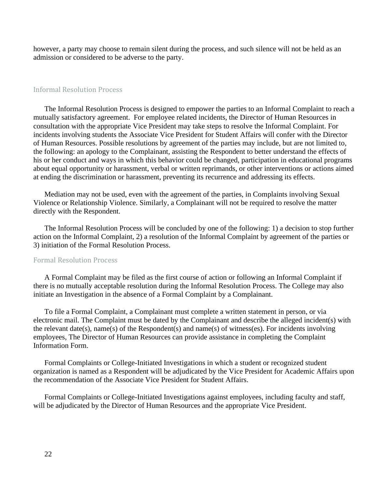however, a party may choose to remain silent during the process, and such silence will not be held as an admission or considered to be adverse to the party.

## Informal Resolution Process

The Informal Resolution Process is designed to empower the parties to an Informal Complaint to reach a mutually satisfactory agreement. For employee related incidents, the Director of Human Resources in consultation with the appropriate Vice President may take steps to resolve the Informal Complaint. For incidents involving students the Associate Vice President for Student Affairs will confer with the Director of Human Resources. Possible resolutions by agreement of the parties may include, but are not limited to, the following: an apology to the Complainant, assisting the Respondent to better understand the effects of his or her conduct and ways in which this behavior could be changed, participation in educational programs about equal opportunity or harassment, verbal or written reprimands, or other interventions or actions aimed at ending the discrimination or harassment, preventing its recurrence and addressing its effects.

Mediation may not be used, even with the agreement of the parties, in Complaints involving Sexual Violence or Relationship Violence. Similarly, a Complainant will not be required to resolve the matter directly with the Respondent.

The Informal Resolution Process will be concluded by one of the following: 1) a decision to stop further action on the Informal Complaint, 2) a resolution of the Informal Complaint by agreement of the parties or 3) initiation of the Formal Resolution Process.

#### Formal Resolution Process

A Formal Complaint may be filed as the first course of action or following an Informal Complaint if there is no mutually acceptable resolution during the Informal Resolution Process. The College may also initiate an Investigation in the absence of a Formal Complaint by a Complainant.

To file a Formal Complaint, a Complainant must complete a written statement in person, or via electronic mail. The Complaint must be dated by the Complainant and describe the alleged incident(s) with the relevant date(s), name(s) of the Respondent(s) and name(s) of witness(es). For incidents involving employees, The Director of Human Resources can provide assistance in completing the Complaint Information Form.

Formal Complaints or College-Initiated Investigations in which a student or recognized student organization is named as a Respondent will be adjudicated by the Vice President for Academic Affairs upon the recommendation of the Associate Vice President for Student Affairs.

Formal Complaints or College-Initiated Investigations against employees, including faculty and staff, will be adjudicated by the Director of Human Resources and the appropriate Vice President.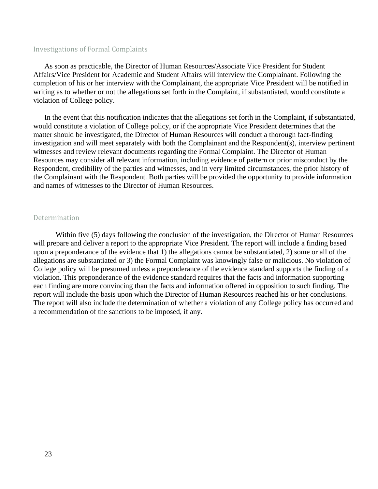## Investigations of Formal Complaints

As soon as practicable, the Director of Human Resources/Associate Vice President for Student Affairs/Vice President for Academic and Student Affairs will interview the Complainant. Following the completion of his or her interview with the Complainant, the appropriate Vice President will be notified in writing as to whether or not the allegations set forth in the Complaint, if substantiated, would constitute a violation of College policy.

In the event that this notification indicates that the allegations set forth in the Complaint, if substantiated, would constitute a violation of College policy, or if the appropriate Vice President determines that the matter should be investigated, the Director of Human Resources will conduct a thorough fact-finding investigation and will meet separately with both the Complainant and the Respondent(s), interview pertinent witnesses and review relevant documents regarding the Formal Complaint. The Director of Human Resources may consider all relevant information, including evidence of pattern or prior misconduct by the Respondent, credibility of the parties and witnesses, and in very limited circumstances, the prior history of the Complainant with the Respondent. Both parties will be provided the opportunity to provide information and names of witnesses to the Director of Human Resources.

#### Determination

Within five (5) days following the conclusion of the investigation, the Director of Human Resources will prepare and deliver a report to the appropriate Vice President. The report will include a finding based upon a preponderance of the evidence that 1) the allegations cannot be substantiated, 2) some or all of the allegations are substantiated or 3) the Formal Complaint was knowingly false or malicious. No violation of College policy will be presumed unless a preponderance of the evidence standard supports the finding of a violation. This preponderance of the evidence standard requires that the facts and information supporting each finding are more convincing than the facts and information offered in opposition to such finding. The report will include the basis upon which the Director of Human Resources reached his or her conclusions. The report will also include the determination of whether a violation of any College policy has occurred and a recommendation of the sanctions to be imposed, if any.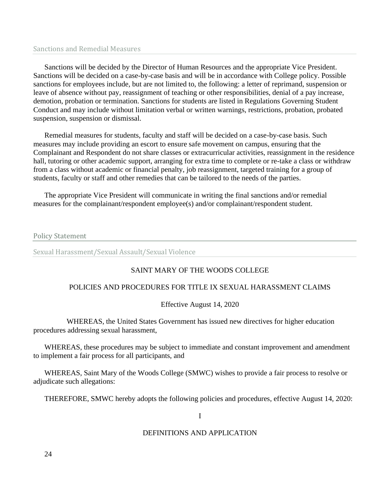## Sanctions and Remedial Measures

Sanctions will be decided by the Director of Human Resources and the appropriate Vice President. Sanctions will be decided on a case-by-case basis and will be in accordance with College policy. Possible sanctions for employees include, but are not limited to, the following: a letter of reprimand, suspension or leave of absence without pay, reassignment of teaching or other responsibilities, denial of a pay increase, demotion, probation or termination. Sanctions for students are listed in Regulations Governing Student Conduct and may include without limitation verbal or written warnings, restrictions, probation, probated suspension, suspension or dismissal.

Remedial measures for students, faculty and staff will be decided on a case-by-case basis. Such measures may include providing an escort to ensure safe movement on campus, ensuring that the Complainant and Respondent do not share classes or extracurricular activities, reassignment in the residence hall, tutoring or other academic support, arranging for extra time to complete or re-take a class or withdraw from a class without academic or financial penalty, job reassignment, targeted training for a group of students, faculty or staff and other remedies that can be tailored to the needs of the parties.

The appropriate Vice President will communicate in writing the final sanctions and/or remedial measures for the complainant/respondent employee(s) and/or complainant/respondent student.

Policy Statement

Sexual Harassment/Sexual Assault/Sexual Violence

# SAINT MARY OF THE WOODS COLLEGE

# POLICIES AND PROCEDURES FOR TITLE IX SEXUAL HARASSMENT CLAIMS

# Effective August 14, 2020

WHEREAS, the United States Government has issued new directives for higher education procedures addressing sexual harassment,

WHEREAS, these procedures may be subject to immediate and constant improvement and amendment to implement a fair process for all participants, and

WHEREAS, Saint Mary of the Woods College (SMWC) wishes to provide a fair process to resolve or adjudicate such allegations:

THEREFORE, SMWC hereby adopts the following policies and procedures, effective August 14, 2020:

I

# DEFINITIONS AND APPLICATION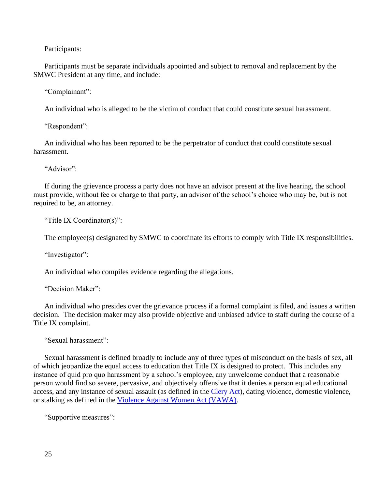Participants:

Participants must be separate individuals appointed and subject to removal and replacement by the SMWC President at any time, and include:

"Complainant":

An individual who is alleged to be the victim of conduct that could constitute sexual harassment.

"Respondent":

An individual who has been reported to be the perpetrator of conduct that could constitute sexual harassment.

"Advisor":

If during the grievance process a party does not have an advisor present at the live hearing, the school must provide, without fee or charge to that party, an advisor of the school's choice who may be, but is not required to be, an attorney.

"Title IX Coordinator(s)":

The employee(s) designated by SMWC to coordinate its efforts to comply with Title IX responsibilities.

"Investigator":

An individual who compiles evidence regarding the allegations.

"Decision Maker":

An individual who presides over the grievance process if a formal complaint is filed, and issues a written decision. The decision maker may also provide objective and unbiased advice to staff during the course of a Title IX complaint.

"Sexual harassment":

Sexual harassment is defined broadly to include any of three types of misconduct on the basis of sex, all of which jeopardize the equal access to education that Title IX is designed to protect. This includes any instance of quid pro quo harassment by a school's employee, any unwelcome conduct that a reasonable person would find so severe, pervasive, and objectively offensive that it denies a person equal educational access, and any instance of sexual assault (as defined in the [Clery Act\)](https://www.smwc.edu/offices-resources/student-consumer-information/college-policies/harassment-free-environment/title-ix-definitions/), dating violence, domestic violence, or stalking as defined in the [Violence Against Women Act \(VAWA\).](https://www.smwc.edu/offices-resources/student-consumer-information/college-policies/harassment-free-environment/title-ix-definitions/)

"Supportive measures":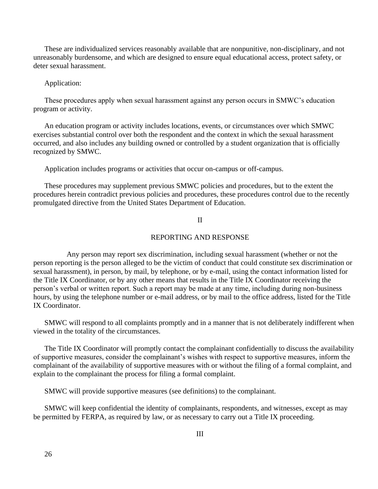These are individualized services reasonably available that are nonpunitive, non-disciplinary, and not unreasonably burdensome, and which are designed to ensure equal educational access, protect safety, or deter sexual harassment.

Application:

These procedures apply when sexual harassment against any person occurs in SMWC's education program or activity.

An education program or activity includes locations, events, or circumstances over which SMWC exercises substantial control over both the respondent and the context in which the sexual harassment occurred, and also includes any building owned or controlled by a student organization that is officially recognized by SMWC.

Application includes programs or activities that occur on-campus or off-campus.

These procedures may supplement previous SMWC policies and procedures, but to the extent the procedures herein contradict previous policies and procedures, these procedures control due to the recently promulgated directive from the United States Department of Education.

II

#### REPORTING AND RESPONSE

Any person may report sex discrimination, including sexual harassment (whether or not the person reporting is the person alleged to be the victim of conduct that could constitute sex discrimination or sexual harassment), in person, by mail, by telephone, or by e-mail, using the contact information listed for the Title IX Coordinator, or by any other means that results in the Title IX Coordinator receiving the person's verbal or written report. Such a report may be made at any time, including during non-business hours, by using the telephone number or e-mail address, or by mail to the office address, listed for the Title IX Coordinator.

SMWC will respond to all complaints promptly and in a manner that is not deliberately indifferent when viewed in the totality of the circumstances.

The Title IX Coordinator will promptly contact the complainant confidentially to discuss the availability of supportive measures, consider the complainant's wishes with respect to supportive measures, inform the complainant of the availability of supportive measures with or without the filing of a formal complaint, and explain to the complainant the process for filing a formal complaint.

SMWC will provide supportive measures (see definitions) to the complainant.

SMWC will keep confidential the identity of complainants, respondents, and witnesses, except as may be permitted by FERPA, as required by law, or as necessary to carry out a Title IX proceeding.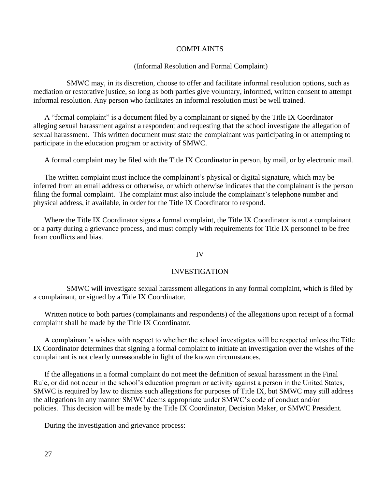# COMPLAINTS

## (Informal Resolution and Formal Complaint)

SMWC may, in its discretion, choose to offer and facilitate informal resolution options, such as mediation or restorative justice, so long as both parties give voluntary, informed, written consent to attempt informal resolution. Any person who facilitates an informal resolution must be well trained.

A "formal complaint" is a document filed by a complainant or signed by the Title IX Coordinator alleging sexual harassment against a respondent and requesting that the school investigate the allegation of sexual harassment. This written document must state the complainant was participating in or attempting to participate in the education program or activity of SMWC.

A formal complaint may be filed with the Title IX Coordinator in person, by mail, or by electronic mail.

The written complaint must include the complainant's physical or digital signature, which may be inferred from an email address or otherwise, or which otherwise indicates that the complainant is the person filing the formal complaint. The complaint must also include the complainant's telephone number and physical address, if available, in order for the Title IX Coordinator to respond.

Where the Title IX Coordinator signs a formal complaint, the Title IX Coordinator is not a complainant or a party during a grievance process, and must comply with requirements for Title IX personnel to be free from conflicts and bias.

## IV

#### INVESTIGATION

SMWC will investigate sexual harassment allegations in any formal complaint, which is filed by a complainant, or signed by a Title IX Coordinator.

Written notice to both parties (complainants and respondents) of the allegations upon receipt of a formal complaint shall be made by the Title IX Coordinator.

A complainant's wishes with respect to whether the school investigates will be respected unless the Title IX Coordinator determines that signing a formal complaint to initiate an investigation over the wishes of the complainant is not clearly unreasonable in light of the known circumstances.

If the allegations in a formal complaint do not meet the definition of sexual harassment in the Final Rule, or did not occur in the school's education program or activity against a person in the United States, SMWC is required by law to dismiss such allegations for purposes of Title IX, but SMWC may still address the allegations in any manner SMWC deems appropriate under SMWC's code of conduct and/or policies. This decision will be made by the Title IX Coordinator, Decision Maker, or SMWC President.

During the investigation and grievance process: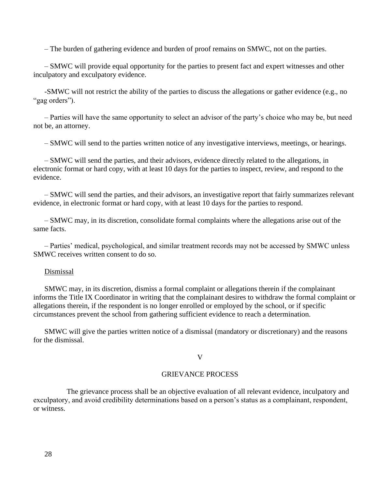– The burden of gathering evidence and burden of proof remains on SMWC, not on the parties.

– SMWC will provide equal opportunity for the parties to present fact and expert witnesses and other inculpatory and exculpatory evidence.

-SMWC will not restrict the ability of the parties to discuss the allegations or gather evidence (e.g., no "gag orders").

– Parties will have the same opportunity to select an advisor of the party's choice who may be, but need not be, an attorney.

– SMWC will send to the parties written notice of any investigative interviews, meetings, or hearings.

– SMWC will send the parties, and their advisors, evidence directly related to the allegations, in electronic format or hard copy, with at least 10 days for the parties to inspect, review, and respond to the evidence.

– SMWC will send the parties, and their advisors, an investigative report that fairly summarizes relevant evidence, in electronic format or hard copy, with at least 10 days for the parties to respond.

– SMWC may, in its discretion, consolidate formal complaints where the allegations arise out of the same facts.

– Parties' medical, psychological, and similar treatment records may not be accessed by SMWC unless SMWC receives written consent to do so.

## Dismissal

SMWC may, in its discretion, dismiss a formal complaint or allegations therein if the complainant informs the Title IX Coordinator in writing that the complainant desires to withdraw the formal complaint or allegations therein, if the respondent is no longer enrolled or employed by the school, or if specific circumstances prevent the school from gathering sufficient evidence to reach a determination.

SMWC will give the parties written notice of a dismissal (mandatory or discretionary) and the reasons for the dismissal.

V

## GRIEVANCE PROCESS

The grievance process shall be an objective evaluation of all relevant evidence, inculpatory and exculpatory, and avoid credibility determinations based on a person's status as a complainant, respondent, or witness.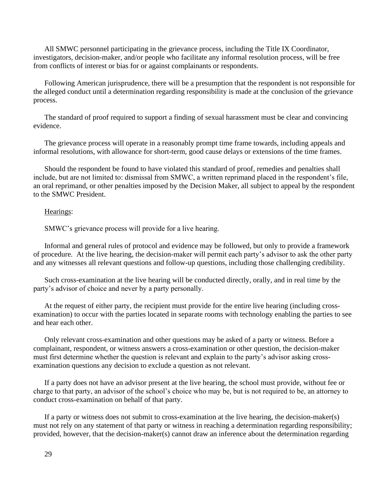All SMWC personnel participating in the grievance process, including the Title IX Coordinator, investigators, decision-maker, and/or people who facilitate any informal resolution process, will be free from conflicts of interest or bias for or against complainants or respondents.

Following American jurisprudence, there will be a presumption that the respondent is not responsible for the alleged conduct until a determination regarding responsibility is made at the conclusion of the grievance process.

The standard of proof required to support a finding of sexual harassment must be clear and convincing evidence.

The grievance process will operate in a reasonably prompt time frame towards, including appeals and informal resolutions, with allowance for short-term, good cause delays or extensions of the time frames.

Should the respondent be found to have violated this standard of proof, remedies and penalties shall include, but are not limited to: dismissal from SMWC, a written reprimand placed in the respondent's file, an oral reprimand, or other penalties imposed by the Decision Maker, all subject to appeal by the respondent to the SMWC President.

#### Hearings:

SMWC's grievance process will provide for a live hearing.

Informal and general rules of protocol and evidence may be followed, but only to provide a framework of procedure. At the live hearing, the decision-maker will permit each party's advisor to ask the other party and any witnesses all relevant questions and follow-up questions, including those challenging credibility.

Such cross-examination at the live hearing will be conducted directly, orally, and in real time by the party's advisor of choice and never by a party personally.

At the request of either party, the recipient must provide for the entire live hearing (including crossexamination) to occur with the parties located in separate rooms with technology enabling the parties to see and hear each other.

Only relevant cross-examination and other questions may be asked of a party or witness. Before a complainant, respondent, or witness answers a cross-examination or other question, the decision-maker must first determine whether the question is relevant and explain to the party's advisor asking crossexamination questions any decision to exclude a question as not relevant.

If a party does not have an advisor present at the live hearing, the school must provide, without fee or charge to that party, an advisor of the school's choice who may be, but is not required to be, an attorney to conduct cross-examination on behalf of that party.

If a party or witness does not submit to cross-examination at the live hearing, the decision-maker(s) must not rely on any statement of that party or witness in reaching a determination regarding responsibility; provided, however, that the decision-maker(s) cannot draw an inference about the determination regarding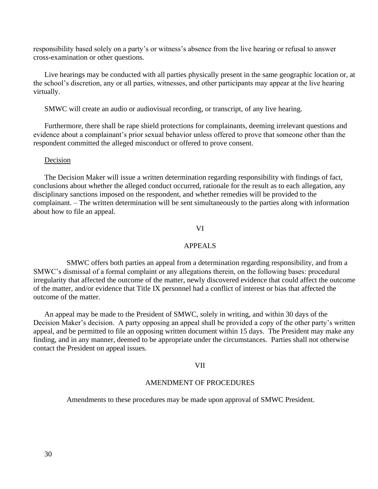responsibility based solely on a party's or witness's absence from the live hearing or refusal to answer cross-examination or other questions.

Live hearings may be conducted with all parties physically present in the same geographic location or, at the school's discretion, any or all parties, witnesses, and other participants may appear at the live hearing virtually.

SMWC will create an audio or audiovisual recording, or transcript, of any live hearing.

Furthermore, there shall be rape shield protections for complainants, deeming irrelevant questions and evidence about a complainant's prior sexual behavior unless offered to prove that someone other than the respondent committed the alleged misconduct or offered to prove consent.

#### Decision

The Decision Maker will issue a written determination regarding responsibility with findings of fact, conclusions about whether the alleged conduct occurred, rationale for the result as to each allegation, any disciplinary sanctions imposed on the respondent, and whether remedies will be provided to the complainant. – The written determination will be sent simultaneously to the parties along with information about how to file an appeal.

#### VI

## APPEALS

SMWC offers both parties an appeal from a determination regarding responsibility, and from a SMWC's dismissal of a formal complaint or any allegations therein, on the following bases: procedural irregularity that affected the outcome of the matter, newly discovered evidence that could affect the outcome of the matter, and/or evidence that Title IX personnel had a conflict of interest or bias that affected the outcome of the matter.

An appeal may be made to the President of SMWC, solely in writing, and within 30 days of the Decision Maker's decision. A party opposing an appeal shall be provided a copy of the other party's written appeal, and be permitted to file an opposing written document within 15 days. The President may make any finding, and in any manner, deemed to be appropriate under the circumstances. Parties shall not otherwise contact the President on appeal issues.

#### VII

#### AMENDMENT OF PROCEDURES

Amendments to these procedures may be made upon approval of SMWC President.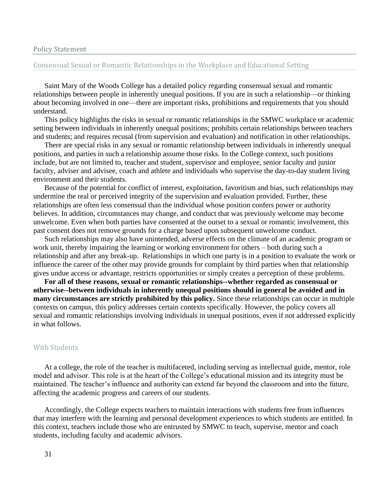#### Policy Statement

## Consensual Sexual or Romantic Relationships in the Workplace and Educational Setting

Saint Mary of the Woods College has a detailed policy regarding consensual sexual and romantic relationships between people in inherently unequal positions. If you are in such a relationship—or thinking about becoming involved in one—there are important risks, prohibitions and requirements that you should understand.

This policy highlights the risks in sexual or romantic relationships in the SMWC workplace or academic setting between individuals in inherently unequal positions; prohibits certain relationships between teachers and students; and requires recusal (from supervision and evaluation) and notification in other relationships.

There are special risks in any sexual or romantic relationship between individuals in inherently unequal positions, and parties in such a relationship assume those risks. In the College context, such positions include, but are not limited to, teacher and student, supervisor and employee, senior faculty and junior faculty, adviser and advisee, coach and athlete and individuals who supervise the day-to-day student living environment and their students.

Because of the potential for conflict of interest, exploitation, favoritism and bias, such relationships may undermine the real or perceived integrity of the supervision and evaluation provided. Further, these relationships are often less consensual than the individual whose position confers power or authority believes. In addition, circumstances may change, and conduct that was previously welcome may become unwelcome. Even when both parties have consented at the outset to a sexual or romantic involvement, this past consent does not remove grounds for a charge based upon subsequent unwelcome conduct.

Such relationships may also have unintended, adverse effects on the climate of an academic program or work unit, thereby impairing the learning or working environment for others – both during such a relationship and after any break-up. Relationships in which one party is in a position to evaluate the work or influence the career of the other may provide grounds for complaint by third parties when that relationship gives undue access or advantage, restricts opportunities or simply creates a perception of these problems.

**For all of these reasons, sexual or romantic relationships--whether regarded as consensual or otherwise--between individuals in inherently unequal positions should in general be avoided and in many circumstances are strictly prohibited by this policy.** Since these relationships can occur in multiple contexts on campus, this policy addresses certain contexts specifically. However, the policy covers all sexual and romantic relationships involving individuals in unequal positions, even if not addressed explicitly in what follows.

## With Students

At a college, the role of the teacher is multifaceted, including serving as intellectual guide, mentor, role model and advisor. This role is at the heart of the College's educational mission and its integrity must be maintained. The teacher's influence and authority can extend far beyond the classroom and into the future, affecting the academic progress and careers of our students.

Accordingly, the College expects teachers to maintain interactions with students free from influences that may interfere with the learning and personal development experiences to which students are entitled. In this context, teachers include those who are entrusted by SMWC to teach, supervise, mentor and coach students, including faculty and academic advisors.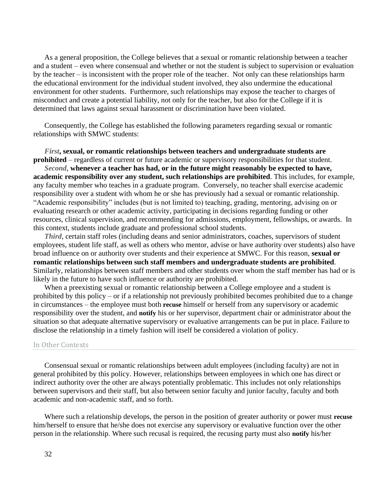As a general proposition, the College believes that a sexual or romantic relationship between a teacher and a student – even where consensual and whether or not the student is subject to supervision or evaluation by the teacher – is inconsistent with the proper role of the teacher. Not only can these relationships harm the educational environment for the individual student involved, they also undermine the educational environment for other students. Furthermore, such relationships may expose the teacher to charges of misconduct and create a potential liability, not only for the teacher, but also for the College if it is determined that laws against sexual harassment or discrimination have been violated.

Consequently, the College has established the following parameters regarding sexual or romantic relationships with SMWC students:

## *First***, sexual, or romantic relationships between teachers and undergraduate students are prohibited** – regardless of current or future academic or supervisory responsibilities for that student.

*Second*, **whenever a teacher has had, or in the future might reasonably be expected to have, academic responsibility over any student, such relationships are prohibited**. This includes, for example, any faculty member who teaches in a graduate program. Conversely, no teacher shall exercise academic responsibility over a student with whom he or she has previously had a sexual or romantic relationship. "Academic responsibility" includes (but is not limited to) teaching, grading, mentoring, advising on or evaluating research or other academic activity, participating in decisions regarding funding or other resources, clinical supervision, and recommending for admissions, employment, fellowships, or awards. In this context, students include graduate and professional school students.

*Third*, certain staff roles (including deans and senior administrators, coaches, supervisors of student employees, student life staff, as well as others who mentor, advise or have authority over students) also have broad influence on or authority over students and their experience at SMWC. For this reason, **sexual or romantic relationships between such staff members and undergraduate students are prohibited**. Similarly, relationships between staff members and other students over whom the staff member has had or is likely in the future to have such influence or authority are prohibited.

When a preexisting sexual or romantic relationship between a College employee and a student is prohibited by this policy – or if a relationship not previously prohibited becomes prohibited due to a change in circumstances – the employee must both **recuse** himself or herself from any supervisory or academic responsibility over the student, and **notify** his or her supervisor, department chair or administrator about the situation so that adequate alternative supervisory or evaluative arrangements can be put in place. Failure to disclose the relationship in a timely fashion will itself be considered a violation of policy.

#### In Other Contexts

Consensual sexual or romantic relationships between adult employees (including faculty) are not in general prohibited by this policy. However, relationships between employees in which one has direct or indirect authority over the other are always potentially problematic. This includes not only relationships between supervisors and their staff, but also between senior faculty and junior faculty, faculty and both academic and non-academic staff, and so forth.

Where such a relationship develops, the person in the position of greater authority or power must **recuse** him/herself to ensure that he/she does not exercise any supervisory or evaluative function over the other person in the relationship. Where such recusal is required, the recusing party must also **notify** his/her